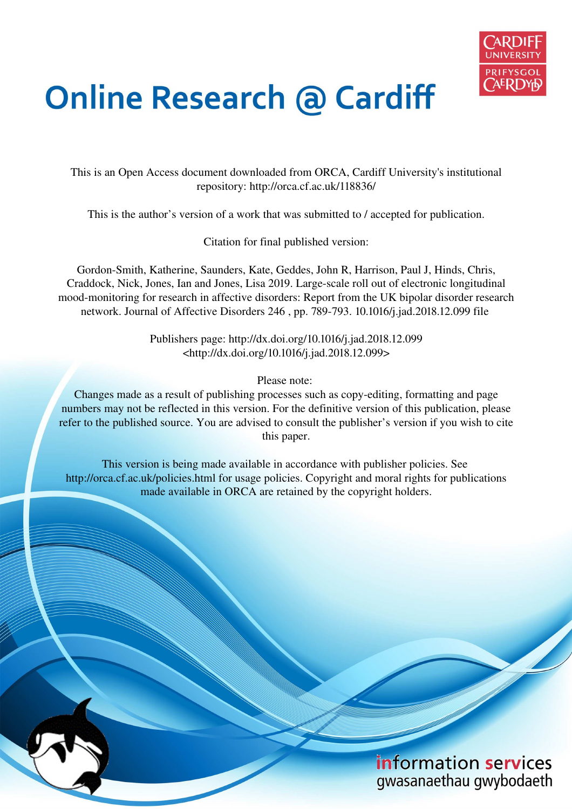

# **Online Research @ Cardiff**

This is an Open Access document downloaded from ORCA, Cardiff University's institutional repository: http://orca.cf.ac.uk/118836/

This is the author's version of a work that was submitted to / accepted for publication.

Citation for final published version:

Gordon-Smith, Katherine, Saunders, Kate, Geddes, John R, Harrison, Paul J, Hinds, Chris, Craddock, Nick, Jones, Ian and Jones, Lisa 2019. Large-scale roll out of electronic longitudinal mood-monitoring for research in affective disorders: Report from the UK bipolar disorder research network. Journal of Affective Disorders 246 , pp. 789-793. 10.1016/j.jad.2018.12.099 file

> Publishers page: http://dx.doi.org/10.1016/j.jad.2018.12.099 <http://dx.doi.org/10.1016/j.jad.2018.12.099>

> > Please note:

Changes made as a result of publishing processes such as copy-editing, formatting and page numbers may not be reflected in this version. For the definitive version of this publication, please refer to the published source. You are advised to consult the publisher's version if you wish to cite this paper.

This version is being made available in accordance with publisher policies. See http://orca.cf.ac.uk/policies.html for usage policies. Copyright and moral rights for publications made available in ORCA are retained by the copyright holders.

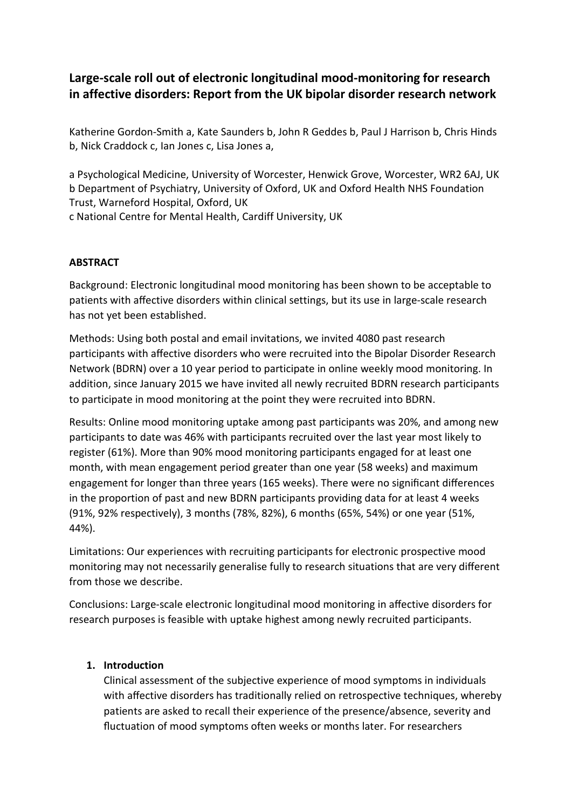## **Large-scale roll out of electronic longitudinal mood-monitoring for research in affective disorders: Report from the UK bipolar disorder research network**

Katherine Gordon-Smith a, Kate Saunders b, John R Geddes b, Paul J Harrison b, Chris Hinds b, Nick Craddock c, Ian Jones c, Lisa Jones a,

a Psychological Medicine, University of Worcester, Henwick Grove, Worcester, WR2 6AJ, UK b Department of Psychiatry, University of Oxford, UK and Oxford Health NHS Foundation Trust, Warneford Hospital, Oxford, UK

c National Centre for Mental Health, Cardiff University, UK

## **ABSTRACT**

Background: Electronic longitudinal mood monitoring has been shown to be acceptable to patients with affective disorders within clinical settings, but its use in large-scale research has not yet been established.

Methods: Using both postal and email invitations, we invited 4080 past research participants with affective disorders who were recruited into the Bipolar Disorder Research Network (BDRN) over a 10 year period to participate in online weekly mood monitoring. In addition, since January 2015 we have invited all newly recruited BDRN research participants to participate in mood monitoring at the point they were recruited into BDRN.

Results: Online mood monitoring uptake among past participants was 20%, and among new participants to date was 46% with participants recruited over the last year most likely to register (61%). More than 90% mood monitoring participants engaged for at least one month, with mean engagement period greater than one year (58 weeks) and maximum engagement for longer than three years (165 weeks). There were no significant differences in the proportion of past and new BDRN participants providing data for at least 4 weeks (91%, 92% respectively), 3 months (78%, 82%), 6 months (65%, 54%) or one year (51%, 44%).

Limitations: Our experiences with recruiting participants for electronic prospective mood monitoring may not necessarily generalise fully to research situations that are very different from those we describe.

Conclusions: Large-scale electronic longitudinal mood monitoring in affective disorders for research purposes is feasible with uptake highest among newly recruited participants.

## **1. Introduction**

Clinical assessment of the subjective experience of mood symptoms in individuals with affective disorders has traditionally relied on retrospective techniques, whereby patients are asked to recall their experience of the presence/absence, severity and fluctuation of mood symptoms often weeks or months later. For researchers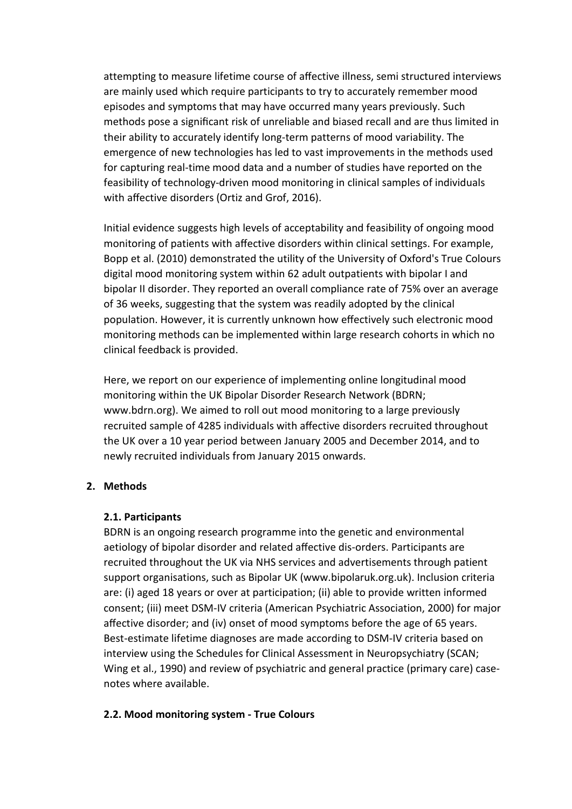attempting to measure lifetime course of affective illness, semi structured interviews are mainly used which require participants to try to accurately remember mood episodes and symptoms that may have occurred many years previously. Such methods pose a significant risk of unreliable and biased recall and are thus limited in their ability to accurately identify long-term patterns of mood variability. The emergence of new technologies has led to vast improvements in the methods used for capturing real-time mood data and a number of studies have reported on the feasibility of technology-driven mood monitoring in clinical samples of individuals with affective disorders (Ortiz and Grof, 2016).

Initial evidence suggests high levels of acceptability and feasibility of ongoing mood monitoring of patients with affective disorders within clinical settings. For example, Bopp et al. (2010) demonstrated the utility of the University of Oxford's True Colours digital mood monitoring system within 62 adult outpatients with bipolar I and bipolar II disorder. They reported an overall compliance rate of 75% over an average of 36 weeks, suggesting that the system was readily adopted by the clinical population. However, it is currently unknown how effectively such electronic mood monitoring methods can be implemented within large research cohorts in which no clinical feedback is provided.

Here, we report on our experience of implementing online longitudinal mood monitoring within the UK Bipolar Disorder Research Network (BDRN; www.bdrn.org). We aimed to roll out mood monitoring to a large previously recruited sample of 4285 individuals with affective disorders recruited throughout the UK over a 10 year period between January 2005 and December 2014, and to newly recruited individuals from January 2015 onwards.

## **2. Methods**

#### **2.1. Participants**

BDRN is an ongoing research programme into the genetic and environmental aetiology of bipolar disorder and related affective dis-orders. Participants are recruited throughout the UK via NHS services and advertisements through patient support organisations, such as Bipolar UK (www.bipolaruk.org.uk). Inclusion criteria are: (i) aged 18 years or over at participation; (ii) able to provide written informed consent; (iii) meet DSM-IV criteria (American Psychiatric Association, 2000) for major affective disorder; and (iv) onset of mood symptoms before the age of 65 years. Best-estimate lifetime diagnoses are made according to DSM-IV criteria based on interview using the Schedules for Clinical Assessment in Neuropsychiatry (SCAN; Wing et al., 1990) and review of psychiatric and general practice (primary care) casenotes where available.

## **2.2. Mood monitoring system - True Colours**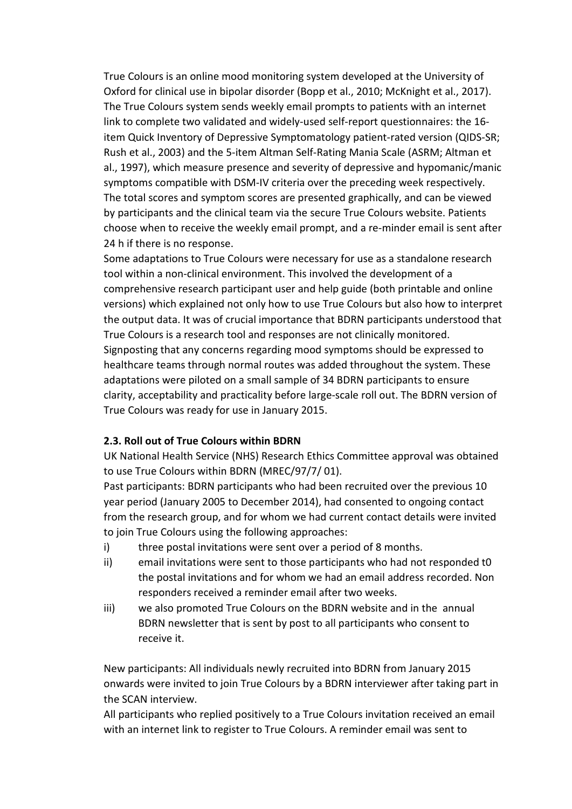True Colours is an online mood monitoring system developed at the University of Oxford for clinical use in bipolar disorder (Bopp et al., 2010; McKnight et al., 2017). The True Colours system sends weekly email prompts to patients with an internet link to complete two validated and widely-used self-report questionnaires: the 16 item Quick Inventory of Depressive Symptomatology patient-rated version (QIDS-SR; Rush et al., 2003) and the 5-item Altman Self-Rating Mania Scale (ASRM; Altman et al., 1997), which measure presence and severity of depressive and hypomanic/manic symptoms compatible with DSM-IV criteria over the preceding week respectively. The total scores and symptom scores are presented graphically, and can be viewed by participants and the clinical team via the secure True Colours website. Patients choose when to receive the weekly email prompt, and a re-minder email is sent after 24 h if there is no response.

Some adaptations to True Colours were necessary for use as a standalone research tool within a non-clinical environment. This involved the development of a comprehensive research participant user and help guide (both printable and online versions) which explained not only how to use True Colours but also how to interpret the output data. It was of crucial importance that BDRN participants understood that True Colours is a research tool and responses are not clinically monitored. Signposting that any concerns regarding mood symptoms should be expressed to healthcare teams through normal routes was added throughout the system. These adaptations were piloted on a small sample of 34 BDRN participants to ensure clarity, acceptability and practicality before large-scale roll out. The BDRN version of True Colours was ready for use in January 2015.

#### **2.3. Roll out of True Colours within BDRN**

UK National Health Service (NHS) Research Ethics Committee approval was obtained to use True Colours within BDRN (MREC/97/7/ 01).

Past participants: BDRN participants who had been recruited over the previous 10 year period (January 2005 to December 2014), had consented to ongoing contact from the research group, and for whom we had current contact details were invited to join True Colours using the following approaches:

- i) three postal invitations were sent over a period of 8 months.
- ii) email invitations were sent to those participants who had not responded t0 the postal invitations and for whom we had an email address recorded. Non responders received a reminder email after two weeks.
- iii) we also promoted True Colours on the BDRN website and in the annual BDRN newsletter that is sent by post to all participants who consent to receive it.

New participants: All individuals newly recruited into BDRN from January 2015 onwards were invited to join True Colours by a BDRN interviewer after taking part in the SCAN interview.

All participants who replied positively to a True Colours invitation received an email with an internet link to register to True Colours. A reminder email was sent to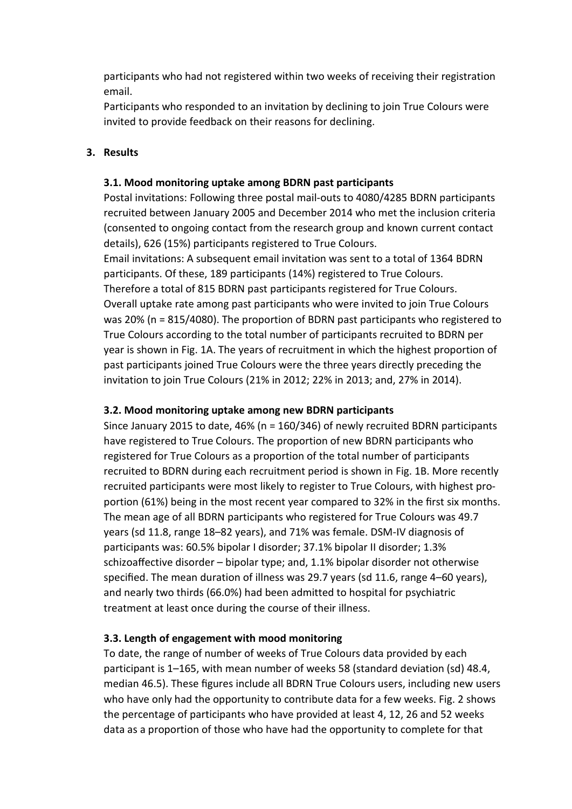participants who had not registered within two weeks of receiving their registration email.

Participants who responded to an invitation by declining to join True Colours were invited to provide feedback on their reasons for declining.

#### **3. Results**

#### **3.1. Mood monitoring uptake among BDRN past participants**

Postal invitations: Following three postal mail-outs to 4080/4285 BDRN participants recruited between January 2005 and December 2014 who met the inclusion criteria (consented to ongoing contact from the research group and known current contact details), 626 (15%) participants registered to True Colours.

Email invitations: A subsequent email invitation was sent to a total of 1364 BDRN participants. Of these, 189 participants (14%) registered to True Colours. Therefore a total of 815 BDRN past participants registered for True Colours. Overall uptake rate among past participants who were invited to join True Colours was 20% (n = 815/4080). The proportion of BDRN past participants who registered to True Colours according to the total number of participants recruited to BDRN per year is shown in Fig. 1A. The years of recruitment in which the highest proportion of past participants joined True Colours were the three years directly preceding the invitation to join True Colours (21% in 2012; 22% in 2013; and, 27% in 2014).

#### **3.2. Mood monitoring uptake among new BDRN participants**

Since January 2015 to date, 46% (n = 160/346) of newly recruited BDRN participants have registered to True Colours. The proportion of new BDRN participants who registered for True Colours as a proportion of the total number of participants recruited to BDRN during each recruitment period is shown in Fig. 1B. More recently recruited participants were most likely to register to True Colours, with highest proportion (61%) being in the most recent year compared to 32% in the first six months. The mean age of all BDRN participants who registered for True Colours was 49.7 years (sd 11.8, range 18–82 years), and 71% was female. DSM-IV diagnosis of participants was: 60.5% bipolar I disorder; 37.1% bipolar II disorder; 1.3% schizoaffective disorder – bipolar type; and, 1.1% bipolar disorder not otherwise specified. The mean duration of illness was 29.7 years (sd 11.6, range 4–60 years), and nearly two thirds (66.0%) had been admitted to hospital for psychiatric treatment at least once during the course of their illness.

## **3.3. Length of engagement with mood monitoring**

To date, the range of number of weeks of True Colours data provided by each participant is 1–165, with mean number of weeks 58 (standard deviation (sd) 48.4, median 46.5). These figures include all BDRN True Colours users, including new users who have only had the opportunity to contribute data for a few weeks. Fig. 2 shows the percentage of participants who have provided at least 4, 12, 26 and 52 weeks data as a proportion of those who have had the opportunity to complete for that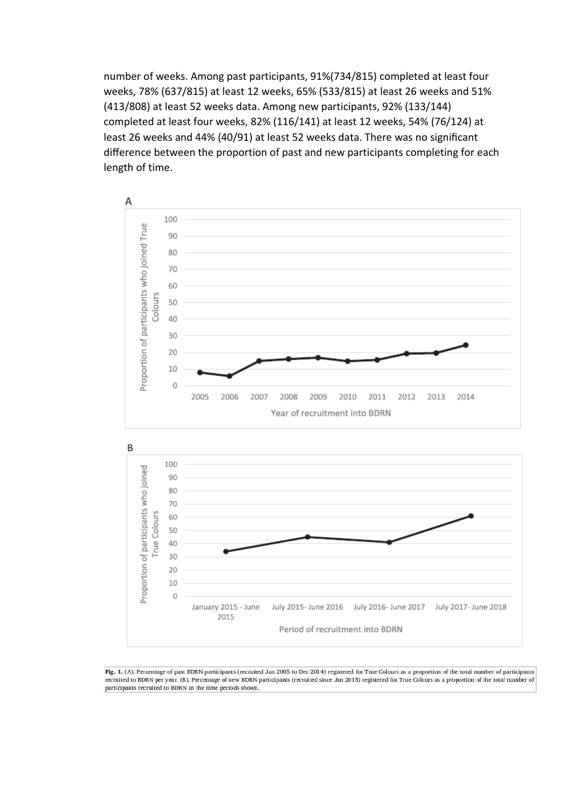number of weeks. Among past participants, 91%(734/815) completed at least four weeks, 78% (637/815) at least 12 weeks, 65% (533/815) at least 26 weeks and 51% (413/808) at least 52 weeks data. Among new participants, 92% (133/144) completed at least four weeks, 82% (116/141) at least 12 weeks, 54% (76/124) at least 26 weeks and 44% (40/91) at least 52 weeks data. There was no significant difference between the proportion of past and new participants completing for each length of time.



Fig. 1. (A). Percentage of past BDRN participants (recruited Jan 2005 to Dec 2014) registered for True Colours as a proportion of the total number of participants recruited to BDRN per year. (B). Percentage of new BDRN participants (recruited since Jan 2015) registered for True Colours as a proportion of the total number of participants recruited to BDRN in the time periods shown.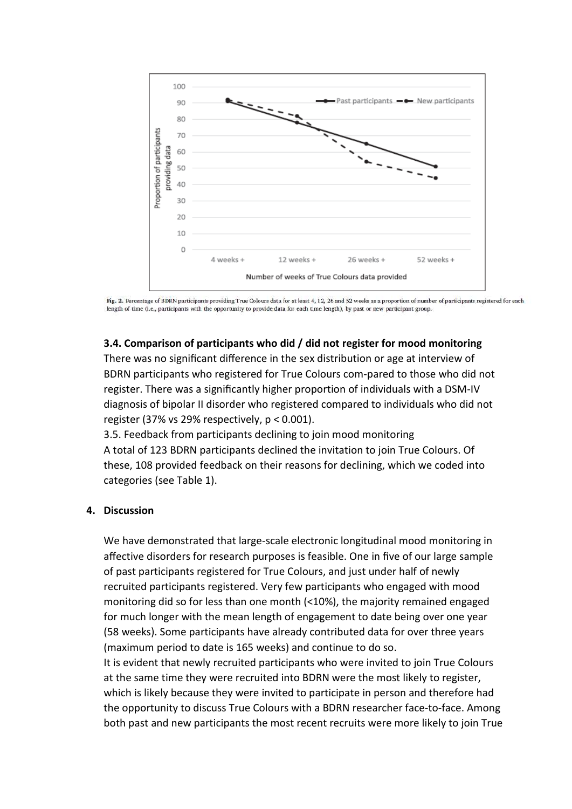

Fig. 2. Percentage of BDRN participants providing True Colours data for at least 4, 12, 26 and 52 weeks as a proportion of number of participants registered for each length of time (i.e., participants with the opportunity to provide data for each time length), by past or new participant group.

#### **3.4. Comparison of participants who did / did not register for mood monitoring**

There was no significant difference in the sex distribution or age at interview of BDRN participants who registered for True Colours com-pared to those who did not register. There was a significantly higher proportion of individuals with a DSM-IV diagnosis of bipolar II disorder who registered compared to individuals who did not register (37% vs 29% respectively, p < 0.001).

3.5. Feedback from participants declining to join mood monitoring A total of 123 BDRN participants declined the invitation to join True Colours. Of these, 108 provided feedback on their reasons for declining, which we coded into categories (see Table 1).

#### **4. Discussion**

We have demonstrated that large-scale electronic longitudinal mood monitoring in affective disorders for research purposes is feasible. One in five of our large sample of past participants registered for True Colours, and just under half of newly recruited participants registered. Very few participants who engaged with mood monitoring did so for less than one month (<10%), the majority remained engaged for much longer with the mean length of engagement to date being over one year (58 weeks). Some participants have already contributed data for over three years (maximum period to date is 165 weeks) and continue to do so.

It is evident that newly recruited participants who were invited to join True Colours at the same time they were recruited into BDRN were the most likely to register, which is likely because they were invited to participate in person and therefore had the opportunity to discuss True Colours with a BDRN researcher face-to-face. Among both past and new participants the most recent recruits were more likely to join True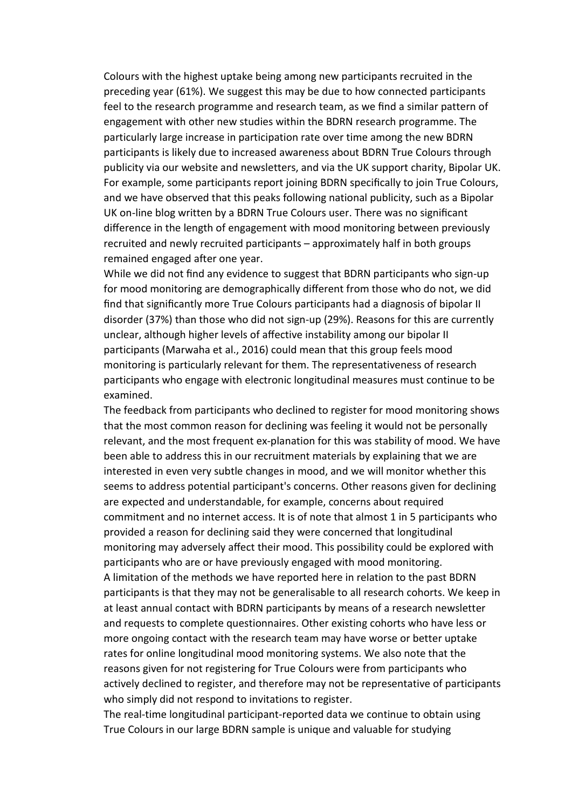Colours with the highest uptake being among new participants recruited in the preceding year (61%). We suggest this may be due to how connected participants feel to the research programme and research team, as we find a similar pattern of engagement with other new studies within the BDRN research programme. The particularly large increase in participation rate over time among the new BDRN participants is likely due to increased awareness about BDRN True Colours through publicity via our website and newsletters, and via the UK support charity, Bipolar UK. For example, some participants report joining BDRN specifically to join True Colours, and we have observed that this peaks following national publicity, such as a Bipolar UK on-line blog written by a BDRN True Colours user. There was no significant difference in the length of engagement with mood monitoring between previously recruited and newly recruited participants – approximately half in both groups remained engaged after one year.

While we did not find any evidence to suggest that BDRN participants who sign-up for mood monitoring are demographically different from those who do not, we did find that significantly more True Colours participants had a diagnosis of bipolar II disorder (37%) than those who did not sign-up (29%). Reasons for this are currently unclear, although higher levels of affective instability among our bipolar II participants (Marwaha et al., 2016) could mean that this group feels mood monitoring is particularly relevant for them. The representativeness of research participants who engage with electronic longitudinal measures must continue to be examined.

The feedback from participants who declined to register for mood monitoring shows that the most common reason for declining was feeling it would not be personally relevant, and the most frequent ex-planation for this was stability of mood. We have been able to address this in our recruitment materials by explaining that we are interested in even very subtle changes in mood, and we will monitor whether this seems to address potential participant's concerns. Other reasons given for declining are expected and understandable, for example, concerns about required commitment and no internet access. It is of note that almost 1 in 5 participants who provided a reason for declining said they were concerned that longitudinal monitoring may adversely affect their mood. This possibility could be explored with participants who are or have previously engaged with mood monitoring. A limitation of the methods we have reported here in relation to the past BDRN participants is that they may not be generalisable to all research cohorts. We keep in at least annual contact with BDRN participants by means of a research newsletter and requests to complete questionnaires. Other existing cohorts who have less or more ongoing contact with the research team may have worse or better uptake rates for online longitudinal mood monitoring systems. We also note that the reasons given for not registering for True Colours were from participants who actively declined to register, and therefore may not be representative of participants who simply did not respond to invitations to register.

The real-time longitudinal participant-reported data we continue to obtain using True Colours in our large BDRN sample is unique and valuable for studying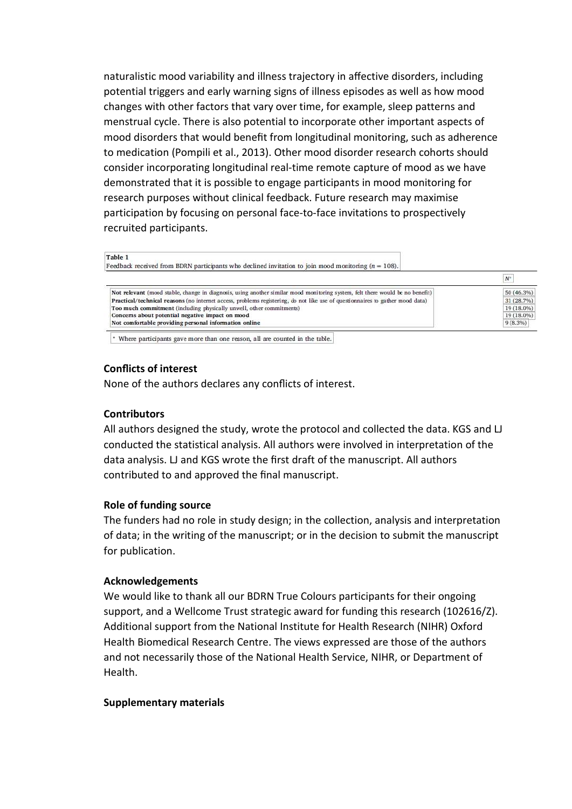naturalistic mood variability and illness trajectory in affective disorders, including potential triggers and early warning signs of illness episodes as well as how mood changes with other factors that vary over time, for example, sleep patterns and menstrual cycle. There is also potential to incorporate other important aspects of mood disorders that would benefit from longitudinal monitoring, such as adherence to medication (Pompili et al., 2013). Other mood disorder research cohorts should consider incorporating longitudinal real-time remote capture of mood as we have demonstrated that it is possible to engage participants in mood monitoring for research purposes without clinical feedback. Future research may maximise participation by focusing on personal face-to-face invitations to prospectively recruited participants.

| Table 1<br>Feedback received from BDRN participants who declined invitation to join mood monitoring $(n = 108)$ .             |            |
|-------------------------------------------------------------------------------------------------------------------------------|------------|
|                                                                                                                               | $N^+$      |
| Not relevant (mood stable, change in diagnosis, using another similar mood monitoring system, felt there would be no benefit) | 50 (46.3%) |
| Practical/technical reasons (no internet access, problems registering, do not like use of questionnaires to gather mood data) | 31 (28.7%) |
| Too much commitment (including physically unwell, other commitments)                                                          | 19 (18.0%) |
| Concerns about potential negative impact on mood                                                                              | 19 (18.0%) |
| Not comfortable providing personal information online                                                                         | $9(8.3\%)$ |

 $^\star$  Where participants gave more than one reason, all are counted in the table.

#### **Conflicts of interest**

None of the authors declares any conflicts of interest.

#### **Contributors**

All authors designed the study, wrote the protocol and collected the data. KGS and LJ conducted the statistical analysis. All authors were involved in interpretation of the data analysis. LJ and KGS wrote the first draft of the manuscript. All authors contributed to and approved the final manuscript.

#### **Role of funding source**

The funders had no role in study design; in the collection, analysis and interpretation of data; in the writing of the manuscript; or in the decision to submit the manuscript for publication.

#### **Acknowledgements**

We would like to thank all our BDRN True Colours participants for their ongoing support, and a Wellcome Trust strategic award for funding this research (102616/Z). Additional support from the National Institute for Health Research (NIHR) Oxford Health Biomedical Research Centre. The views expressed are those of the authors and not necessarily those of the National Health Service, NIHR, or Department of Health.

#### **Supplementary materials**